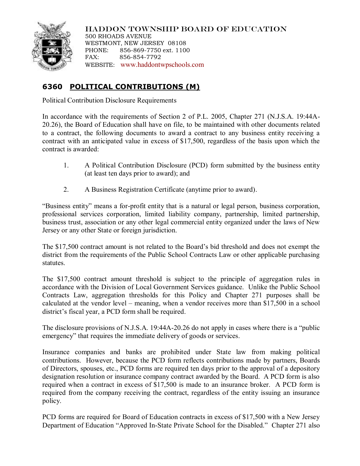

HADDON TOWNSHIP BOARD OF EDUCATION 500 RHOADS AVENUE WESTMONT, NEW JERSEY 08108 PHONE: 856-869-7750 ext. 1100 FAX: 856-854-7792 WEBSITE: [www.haddontwpschools.com](http://www.haddontwpschools.com/)

## **6360 POLITICAL CONTRIBUTIONS (M)**

Political Contribution Disclosure Requirements

In accordance with the requirements of Section 2 of P.L. 2005, Chapter 271 (N.J.S.A. 19:44A-20.26), the Board of Education shall have on file, to be maintained with other documents related to a contract, the following documents to award a contract to any business entity receiving a contract with an anticipated value in excess of \$17,500, regardless of the basis upon which the contract is awarded:

- 1. A Political Contribution Disclosure (PCD) form submitted by the business entity (at least ten days prior to award); and
- 2. A Business Registration Certificate (anytime prior to award).

"Business entity" means a for-profit entity that is a natural or legal person, business corporation, professional services corporation, limited liability company, partnership, limited partnership, business trust, association or any other legal commercial entity organized under the laws of New Jersey or any other State or foreign jurisdiction.

The \$17,500 contract amount is not related to the Board's bid threshold and does not exempt the district from the requirements of the Public School Contracts Law or other applicable purchasing statutes.

The \$17,500 contract amount threshold is subject to the principle of aggregation rules in accordance with the Division of Local Government Services guidance. Unlike the Public School Contracts Law, aggregation thresholds for this Policy and Chapter 271 purposes shall be calculated at the vendor level – meaning, when a vendor receives more than \$17,500 in a school district's fiscal year, a PCD form shall be required.

The disclosure provisions of N.J.S.A. 19:44A-20.26 do not apply in cases where there is a "public emergency" that requires the immediate delivery of goods or services.

Insurance companies and banks are prohibited under State law from making political contributions. However, because the PCD form reflects contributions made by partners, Boards of Directors, spouses, etc., PCD forms are required ten days prior to the approval of a depository designation resolution or insurance company contract awarded by the Board. A PCD form is also required when a contract in excess of \$17,500 is made to an insurance broker. A PCD form is required from the company receiving the contract, regardless of the entity issuing an insurance policy.

PCD forms are required for Board of Education contracts in excess of \$17,500 with a New Jersey Department of Education "Approved In-State Private School for the Disabled." Chapter 271 also